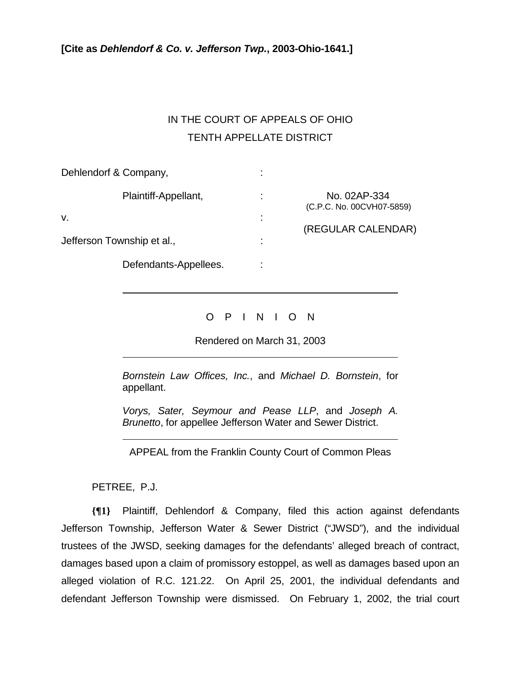## IN THE COURT OF APPEALS OF OHIO TENTH APPELLATE DISTRICT

| Dehlendorf & Company,      |        |                                           |
|----------------------------|--------|-------------------------------------------|
| Plaintiff-Appellant,<br>V. | ٠<br>٠ | No. 02AP-334<br>(C.P.C. No. 00CVH07-5859) |
| Jefferson Township et al., |        | (REGULAR CALENDAR)                        |
| Defendants-Appellees.      |        |                                           |

## O P I N I O N

Rendered on March 31, 2003

*Bornstein Law Offices, Inc.*, and *Michael D. Bornstein*, for appellant.

*Vorys, Sater, Seymour and Pease LLP*, and *Joseph A. Brunetto*, for appellee Jefferson Water and Sewer District.

APPEAL from the Franklin County Court of Common Pleas

PETREE, P.J.

 $\overline{a}$ 

 $\overline{a}$ 

 $\overline{a}$ 

**{¶1}** Plaintiff, Dehlendorf & Company, filed this action against defendants Jefferson Township, Jefferson Water & Sewer District ("JWSD"), and the individual trustees of the JWSD, seeking damages for the defendants' alleged breach of contract, damages based upon a claim of promissory estoppel, as well as damages based upon an alleged violation of R.C. 121.22. On April 25, 2001, the individual defendants and defendant Jefferson Township were dismissed. On February 1, 2002, the trial court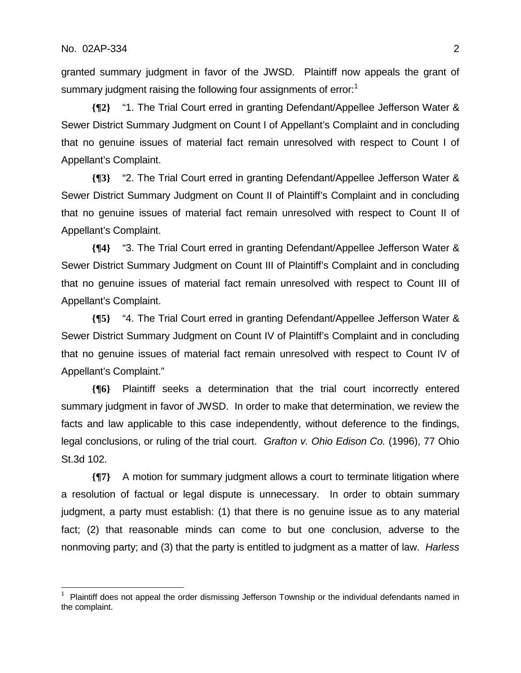1

granted summary judgment in favor of the JWSD. Plaintiff now appeals the grant of summary judgment raising the following four assignments of error:<sup>1</sup>

**{¶2}** "1. The Trial Court erred in granting Defendant/Appellee Jefferson Water & Sewer District Summary Judgment on Count I of Appellant's Complaint and in concluding that no genuine issues of material fact remain unresolved with respect to Count I of Appellant's Complaint.

**{¶3}** "2. The Trial Court erred in granting Defendant/Appellee Jefferson Water & Sewer District Summary Judgment on Count II of Plaintiff's Complaint and in concluding that no genuine issues of material fact remain unresolved with respect to Count II of Appellant's Complaint.

**{¶4}** "3. The Trial Court erred in granting Defendant/Appellee Jefferson Water & Sewer District Summary Judgment on Count III of Plaintiff's Complaint and in concluding that no genuine issues of material fact remain unresolved with respect to Count III of Appellant's Complaint.

**{¶5}** "4. The Trial Court erred in granting Defendant/Appellee Jefferson Water & Sewer District Summary Judgment on Count IV of Plaintiff's Complaint and in concluding that no genuine issues of material fact remain unresolved with respect to Count IV of Appellant's Complaint."

**{¶6}** Plaintiff seeks a determination that the trial court incorrectly entered summary judgment in favor of JWSD. In order to make that determination, we review the facts and law applicable to this case independently, without deference to the findings, legal conclusions, or ruling of the trial court. *Grafton v. Ohio Edison Co.* (1996), 77 Ohio St.3d 102.

**{¶7}** A motion for summary judgment allows a court to terminate litigation where a resolution of factual or legal dispute is unnecessary. In order to obtain summary judgment, a party must establish: (1) that there is no genuine issue as to any material fact; (2) that reasonable minds can come to but one conclusion, adverse to the nonmoving party; and (3) that the party is entitled to judgment as a matter of law. *Harless* 

<sup>1</sup> Plaintiff does not appeal the order dismissing Jefferson Township or the individual defendants named in the complaint.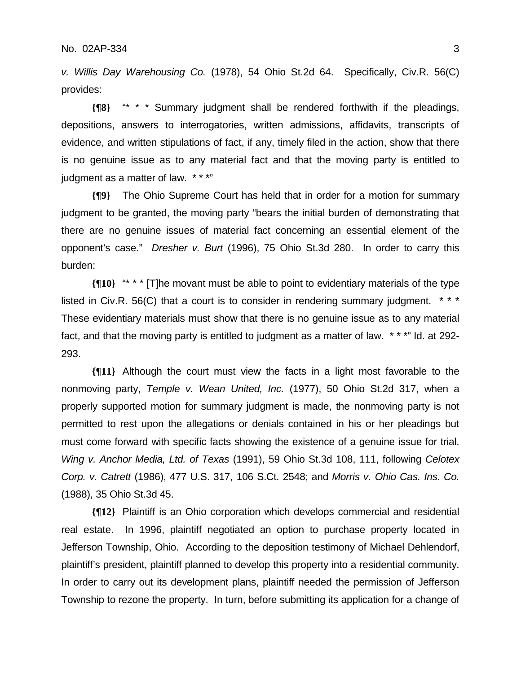*v. Willis Day Warehousing Co.* (1978), 54 Ohio St.2d 64. Specifically, Civ.R. 56(C) provides:

**{¶8}** "\* \* \* Summary judgment shall be rendered forthwith if the pleadings, depositions, answers to interrogatories, written admissions, affidavits, transcripts of evidence, and written stipulations of fact, if any, timely filed in the action, show that there is no genuine issue as to any material fact and that the moving party is entitled to judgment as a matter of law. \* \* \* "

**{¶9}** The Ohio Supreme Court has held that in order for a motion for summary judgment to be granted, the moving party "bears the initial burden of demonstrating that there are no genuine issues of material fact concerning an essential element of the opponent's case." *Dresher v. Burt* (1996), 75 Ohio St.3d 280. In order to carry this burden:

**{¶10}** "\* \* \* [T]he movant must be able to point to evidentiary materials of the type listed in Civ.R. 56(C) that a court is to consider in rendering summary judgment. \*\*\* These evidentiary materials must show that there is no genuine issue as to any material fact, and that the moving party is entitled to judgment as a matter of law. \* \* \*" Id. at 292- 293.

**{¶11}** Although the court must view the facts in a light most favorable to the nonmoving party, *Temple v. Wean United, Inc.* (1977), 50 Ohio St.2d 317, when a properly supported motion for summary judgment is made, the nonmoving party is not permitted to rest upon the allegations or denials contained in his or her pleadings but must come forward with specific facts showing the existence of a genuine issue for trial. *Wing v. Anchor Media, Ltd. of Texas* (1991), 59 Ohio St.3d 108, 111, following *Celotex Corp. v. Catrett* (1986), 477 U.S. 317, 106 S.Ct. 2548; and *Morris v. Ohio Cas. Ins. Co.* (1988), 35 Ohio St.3d 45.

**{¶12}** Plaintiff is an Ohio corporation which develops commercial and residential real estate. In 1996, plaintiff negotiated an option to purchase property located in Jefferson Township, Ohio. According to the deposition testimony of Michael Dehlendorf, plaintiff's president, plaintiff planned to develop this property into a residential community. In order to carry out its development plans, plaintiff needed the permission of Jefferson Township to rezone the property. In turn, before submitting its application for a change of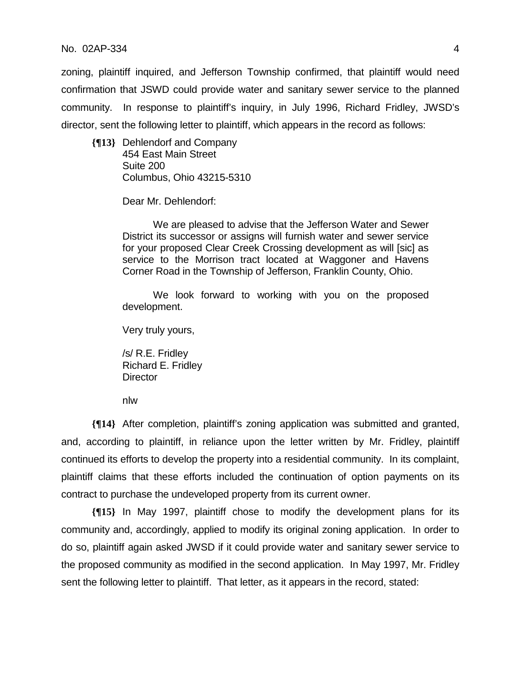## No. 02AP-334 4

zoning, plaintiff inquired, and Jefferson Township confirmed, that plaintiff would need confirmation that JSWD could provide water and sanitary sewer service to the planned community. In response to plaintiff's inquiry, in July 1996, Richard Fridley, JWSD's director, sent the following letter to plaintiff, which appears in the record as follows:

**{¶13}** Dehlendorf and Company 454 East Main Street Suite 200 Columbus, Ohio 43215-5310

Dear Mr. Dehlendorf:

We are pleased to advise that the Jefferson Water and Sewer District its successor or assigns will furnish water and sewer service for your proposed Clear Creek Crossing development as will [sic] as service to the Morrison tract located at Waggoner and Havens Corner Road in the Township of Jefferson, Franklin County, Ohio.

We look forward to working with you on the proposed development.

Very truly yours,

/s/ R.E. Fridley Richard E. Fridley **Director** 

nlw

**{¶14}** After completion, plaintiff's zoning application was submitted and granted, and, according to plaintiff, in reliance upon the letter written by Mr. Fridley, plaintiff continued its efforts to develop the property into a residential community. In its complaint, plaintiff claims that these efforts included the continuation of option payments on its contract to purchase the undeveloped property from its current owner.

**{¶15}** In May 1997, plaintiff chose to modify the development plans for its community and, accordingly, applied to modify its original zoning application. In order to do so, plaintiff again asked JWSD if it could provide water and sanitary sewer service to the proposed community as modified in the second application. In May 1997, Mr. Fridley sent the following letter to plaintiff. That letter, as it appears in the record, stated: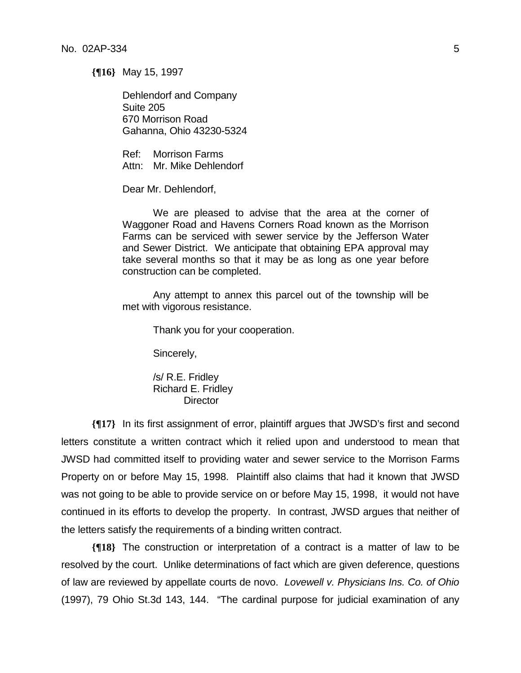**{¶16}** May 15, 1997

Dehlendorf and Company Suite 205 670 Morrison Road Gahanna, Ohio 43230-5324

Ref: Morrison Farms Attn: Mr. Mike Dehlendorf

Dear Mr. Dehlendorf,

We are pleased to advise that the area at the corner of Waggoner Road and Havens Corners Road known as the Morrison Farms can be serviced with sewer service by the Jefferson Water and Sewer District. We anticipate that obtaining EPA approval may take several months so that it may be as long as one year before construction can be completed.

Any attempt to annex this parcel out of the township will be met with vigorous resistance.

Thank you for your cooperation.

Sincerely,

/s/ R.E. Fridley Richard E. Fridley **Director** 

**{¶17}** In its first assignment of error, plaintiff argues that JWSD's first and second letters constitute a written contract which it relied upon and understood to mean that JWSD had committed itself to providing water and sewer service to the Morrison Farms Property on or before May 15, 1998. Plaintiff also claims that had it known that JWSD was not going to be able to provide service on or before May 15, 1998, it would not have continued in its efforts to develop the property. In contrast, JWSD argues that neither of the letters satisfy the requirements of a binding written contract.

**{¶18}** The construction or interpretation of a contract is a matter of law to be resolved by the court. Unlike determinations of fact which are given deference, questions of law are reviewed by appellate courts de novo. *Lovewell v. Physicians Ins. Co. of Ohio* (1997), 79 Ohio St.3d 143, 144. "The cardinal purpose for judicial examination of any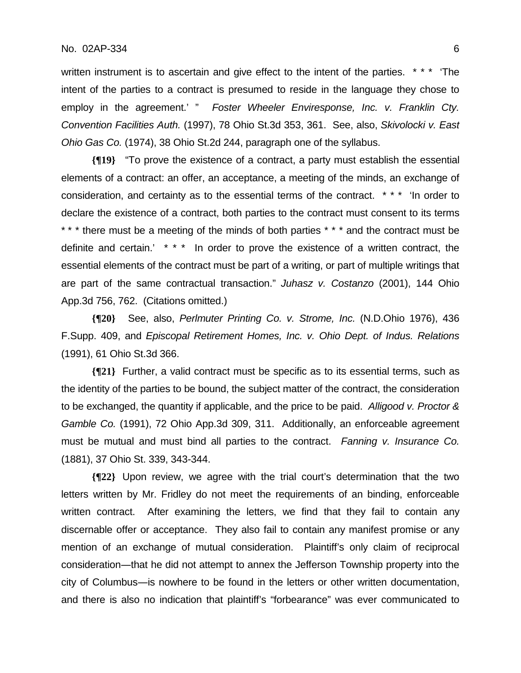written instrument is to ascertain and give effect to the intent of the parties. \*\*\* The intent of the parties to a contract is presumed to reside in the language they chose to employ in the agreement.' " *Foster Wheeler Enviresponse, Inc. v. Franklin Cty. Convention Facilities Auth.* (1997), 78 Ohio St.3d 353, 361. See, also, *Skivolocki v. East Ohio Gas Co.* (1974), 38 Ohio St.2d 244, paragraph one of the syllabus.

**{¶19}** "To prove the existence of a contract, a party must establish the essential elements of a contract: an offer, an acceptance, a meeting of the minds, an exchange of consideration, and certainty as to the essential terms of the contract. \* \* \* 'In order to declare the existence of a contract, both parties to the contract must consent to its terms \*\*\* there must be a meeting of the minds of both parties \*\*\* and the contract must be definite and certain.' \* \* \* In order to prove the existence of a written contract, the essential elements of the contract must be part of a writing, or part of multiple writings that are part of the same contractual transaction." *Juhasz v. Costanzo* (2001), 144 Ohio App.3d 756, 762. (Citations omitted.)

**{¶20}** See, also, *Perlmuter Printing Co. v. Strome, Inc.* (N.D.Ohio 1976), 436 F.Supp. 409, and *Episcopal Retirement Homes, Inc. v. Ohio Dept. of Indus. Relations* (1991), 61 Ohio St.3d 366.

**{¶21}** Further, a valid contract must be specific as to its essential terms, such as the identity of the parties to be bound, the subject matter of the contract, the consideration to be exchanged, the quantity if applicable, and the price to be paid. *Alligood v. Proctor & Gamble Co.* (1991), 72 Ohio App.3d 309, 311. Additionally, an enforceable agreement must be mutual and must bind all parties to the contract. *Fanning v. Insurance Co.*  (1881), 37 Ohio St. 339, 343-344.

**{¶22}** Upon review, we agree with the trial court's determination that the two letters written by Mr. Fridley do not meet the requirements of an binding, enforceable written contract. After examining the letters, we find that they fail to contain any discernable offer or acceptance. They also fail to contain any manifest promise or any mention of an exchange of mutual consideration. Plaintiff's only claim of reciprocal consideration―that he did not attempt to annex the Jefferson Township property into the city of Columbus―is nowhere to be found in the letters or other written documentation, and there is also no indication that plaintiff's "forbearance" was ever communicated to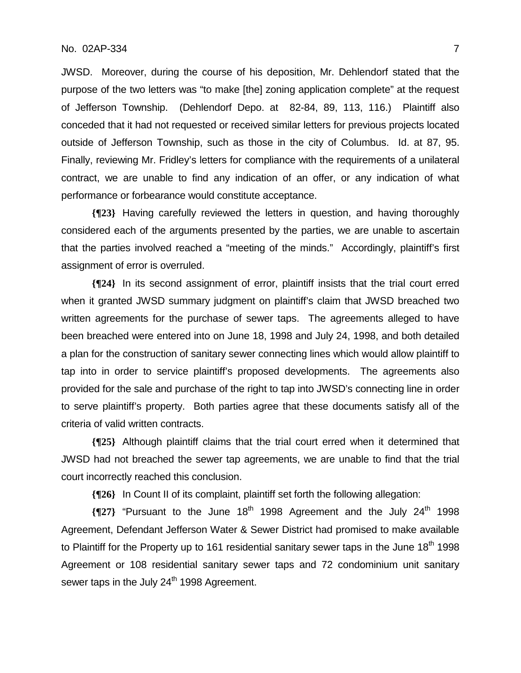## No. 02AP-334 7

JWSD. Moreover, during the course of his deposition, Mr. Dehlendorf stated that the purpose of the two letters was "to make [the] zoning application complete" at the request of Jefferson Township. (Dehlendorf Depo. at 82-84, 89, 113, 116.) Plaintiff also conceded that it had not requested or received similar letters for previous projects located outside of Jefferson Township, such as those in the city of Columbus. Id. at 87, 95. Finally, reviewing Mr. Fridley's letters for compliance with the requirements of a unilateral contract, we are unable to find any indication of an offer, or any indication of what performance or forbearance would constitute acceptance.

**{¶23}** Having carefully reviewed the letters in question, and having thoroughly considered each of the arguments presented by the parties, we are unable to ascertain that the parties involved reached a "meeting of the minds." Accordingly, plaintiff's first assignment of error is overruled.

**{¶24}** In its second assignment of error, plaintiff insists that the trial court erred when it granted JWSD summary judgment on plaintiff's claim that JWSD breached two written agreements for the purchase of sewer taps. The agreements alleged to have been breached were entered into on June 18, 1998 and July 24, 1998, and both detailed a plan for the construction of sanitary sewer connecting lines which would allow plaintiff to tap into in order to service plaintiff's proposed developments. The agreements also provided for the sale and purchase of the right to tap into JWSD's connecting line in order to serve plaintiff's property. Both parties agree that these documents satisfy all of the criteria of valid written contracts.

**{¶25}** Although plaintiff claims that the trial court erred when it determined that JWSD had not breached the sewer tap agreements, we are unable to find that the trial court incorrectly reached this conclusion.

**{¶26}** In Count II of its complaint, plaintiff set forth the following allegation:

**{¶27}** "Pursuant to the June 18th 1998 Agreement and the July 24th 1998 Agreement, Defendant Jefferson Water & Sewer District had promised to make available to Plaintiff for the Property up to 161 residential sanitary sewer taps in the June  $18<sup>th</sup>$  1998 Agreement or 108 residential sanitary sewer taps and 72 condominium unit sanitary sewer taps in the July 24<sup>th</sup> 1998 Agreement.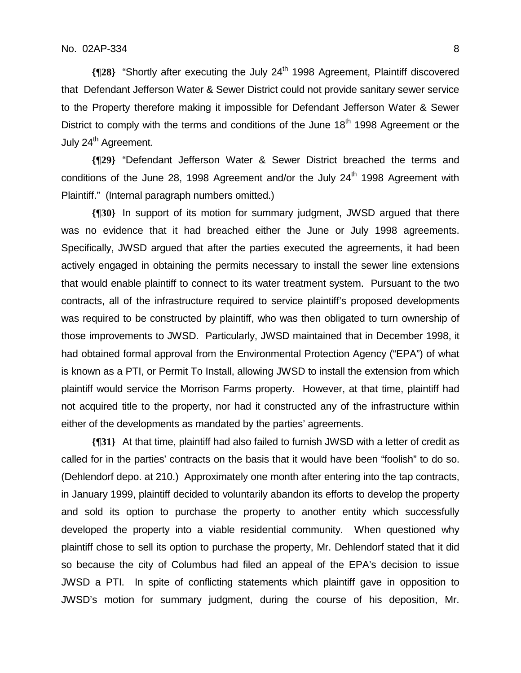**{**¶28} "Shortly after executing the July 24<sup>th</sup> 1998 Agreement, Plaintiff discovered that Defendant Jefferson Water & Sewer District could not provide sanitary sewer service to the Property therefore making it impossible for Defendant Jefferson Water & Sewer District to comply with the terms and conditions of the June  $18<sup>th</sup>$  1998 Agreement or the July 24<sup>th</sup> Agreement.

**{¶29}** "Defendant Jefferson Water & Sewer District breached the terms and conditions of the June 28, 1998 Agreement and/or the July 24<sup>th</sup> 1998 Agreement with Plaintiff." (Internal paragraph numbers omitted.)

**{¶30}** In support of its motion for summary judgment, JWSD argued that there was no evidence that it had breached either the June or July 1998 agreements. Specifically, JWSD argued that after the parties executed the agreements, it had been actively engaged in obtaining the permits necessary to install the sewer line extensions that would enable plaintiff to connect to its water treatment system. Pursuant to the two contracts, all of the infrastructure required to service plaintiff's proposed developments was required to be constructed by plaintiff, who was then obligated to turn ownership of those improvements to JWSD. Particularly, JWSD maintained that in December 1998, it had obtained formal approval from the Environmental Protection Agency ("EPA") of what is known as a PTI, or Permit To Install, allowing JWSD to install the extension from which plaintiff would service the Morrison Farms property. However, at that time, plaintiff had not acquired title to the property, nor had it constructed any of the infrastructure within either of the developments as mandated by the parties' agreements.

**{¶31}** At that time, plaintiff had also failed to furnish JWSD with a letter of credit as called for in the parties' contracts on the basis that it would have been "foolish" to do so. (Dehlendorf depo. at 210.) Approximately one month after entering into the tap contracts, in January 1999, plaintiff decided to voluntarily abandon its efforts to develop the property and sold its option to purchase the property to another entity which successfully developed the property into a viable residential community. When questioned why plaintiff chose to sell its option to purchase the property, Mr. Dehlendorf stated that it did so because the city of Columbus had filed an appeal of the EPA's decision to issue JWSD a PTI. In spite of conflicting statements which plaintiff gave in opposition to JWSD's motion for summary judgment, during the course of his deposition, Mr.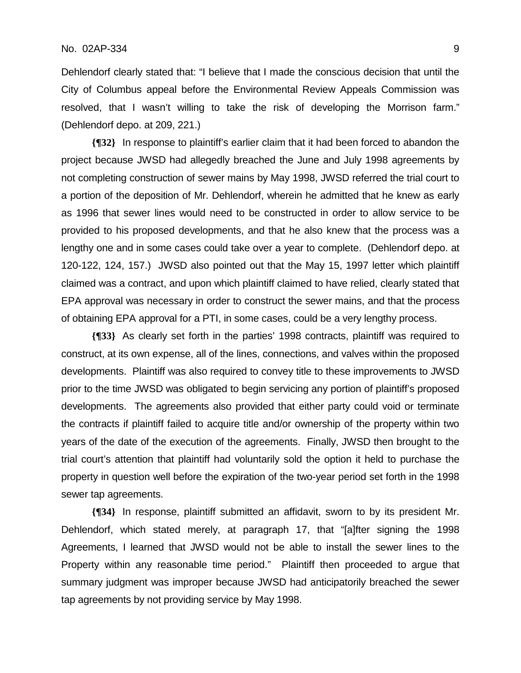Dehlendorf clearly stated that: "I believe that I made the conscious decision that until the City of Columbus appeal before the Environmental Review Appeals Commission was resolved, that I wasn't willing to take the risk of developing the Morrison farm." (Dehlendorf depo. at 209, 221.)

**{¶32}** In response to plaintiff's earlier claim that it had been forced to abandon the project because JWSD had allegedly breached the June and July 1998 agreements by not completing construction of sewer mains by May 1998, JWSD referred the trial court to a portion of the deposition of Mr. Dehlendorf, wherein he admitted that he knew as early as 1996 that sewer lines would need to be constructed in order to allow service to be provided to his proposed developments, and that he also knew that the process was a lengthy one and in some cases could take over a year to complete. (Dehlendorf depo. at 120-122, 124, 157.) JWSD also pointed out that the May 15, 1997 letter which plaintiff claimed was a contract, and upon which plaintiff claimed to have relied, clearly stated that EPA approval was necessary in order to construct the sewer mains, and that the process of obtaining EPA approval for a PTI, in some cases, could be a very lengthy process.

**{¶33}** As clearly set forth in the parties' 1998 contracts, plaintiff was required to construct, at its own expense, all of the lines, connections, and valves within the proposed developments. Plaintiff was also required to convey title to these improvements to JWSD prior to the time JWSD was obligated to begin servicing any portion of plaintiff's proposed developments. The agreements also provided that either party could void or terminate the contracts if plaintiff failed to acquire title and/or ownership of the property within two years of the date of the execution of the agreements. Finally, JWSD then brought to the trial court's attention that plaintiff had voluntarily sold the option it held to purchase the property in question well before the expiration of the two-year period set forth in the 1998 sewer tap agreements.

**{¶34}** In response, plaintiff submitted an affidavit, sworn to by its president Mr. Dehlendorf, which stated merely, at paragraph 17, that "[a]fter signing the 1998 Agreements, I learned that JWSD would not be able to install the sewer lines to the Property within any reasonable time period." Plaintiff then proceeded to argue that summary judgment was improper because JWSD had anticipatorily breached the sewer tap agreements by not providing service by May 1998.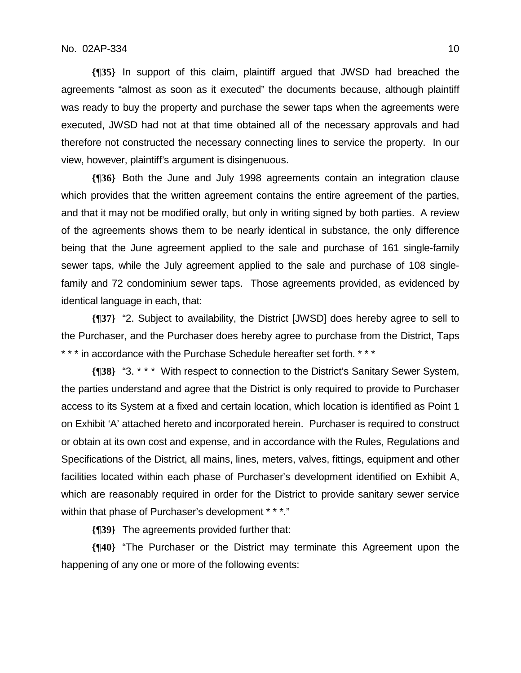**{¶35}** In support of this claim, plaintiff argued that JWSD had breached the agreements "almost as soon as it executed" the documents because, although plaintiff was ready to buy the property and purchase the sewer taps when the agreements were executed, JWSD had not at that time obtained all of the necessary approvals and had therefore not constructed the necessary connecting lines to service the property. In our view, however, plaintiff's argument is disingenuous.

**{¶36}** Both the June and July 1998 agreements contain an integration clause which provides that the written agreement contains the entire agreement of the parties, and that it may not be modified orally, but only in writing signed by both parties. A review of the agreements shows them to be nearly identical in substance, the only difference being that the June agreement applied to the sale and purchase of 161 single-family sewer taps, while the July agreement applied to the sale and purchase of 108 singlefamily and 72 condominium sewer taps. Those agreements provided, as evidenced by identical language in each, that:

**{¶37}** "2. Subject to availability, the District [JWSD] does hereby agree to sell to the Purchaser, and the Purchaser does hereby agree to purchase from the District, Taps \* \* \* in accordance with the Purchase Schedule hereafter set forth. \* \* \*

**{¶38}** "3. \* \* \* With respect to connection to the District's Sanitary Sewer System, the parties understand and agree that the District is only required to provide to Purchaser access to its System at a fixed and certain location, which location is identified as Point 1 on Exhibit 'A' attached hereto and incorporated herein. Purchaser is required to construct or obtain at its own cost and expense, and in accordance with the Rules, Regulations and Specifications of the District, all mains, lines, meters, valves, fittings, equipment and other facilities located within each phase of Purchaser's development identified on Exhibit A, which are reasonably required in order for the District to provide sanitary sewer service within that phase of Purchaser's development \* \* \*."

**{¶39}** The agreements provided further that:

**{¶40}** "The Purchaser or the District may terminate this Agreement upon the happening of any one or more of the following events: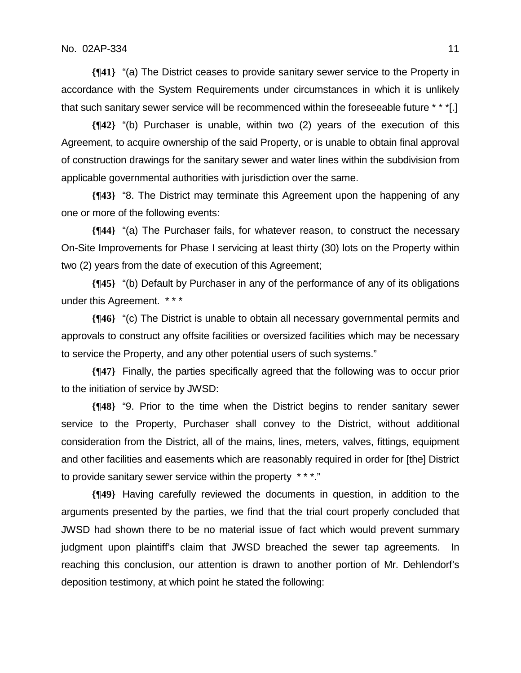**{¶41}** "(a) The District ceases to provide sanitary sewer service to the Property in accordance with the System Requirements under circumstances in which it is unlikely that such sanitary sewer service will be recommenced within the foreseeable future \* \* \*[.]

**{¶42}** "(b) Purchaser is unable, within two (2) years of the execution of this Agreement, to acquire ownership of the said Property, or is unable to obtain final approval of construction drawings for the sanitary sewer and water lines within the subdivision from applicable governmental authorities with jurisdiction over the same.

**{¶43}** "8. The District may terminate this Agreement upon the happening of any one or more of the following events:

**{¶44}** "(a) The Purchaser fails, for whatever reason, to construct the necessary On-Site Improvements for Phase I servicing at least thirty (30) lots on the Property within two (2) years from the date of execution of this Agreement;

**{¶45}** "(b) Default by Purchaser in any of the performance of any of its obligations under this Agreement. \* \* \*

**{¶46}** "(c) The District is unable to obtain all necessary governmental permits and approvals to construct any offsite facilities or oversized facilities which may be necessary to service the Property, and any other potential users of such systems."

**{¶47}** Finally, the parties specifically agreed that the following was to occur prior to the initiation of service by JWSD:

**{¶48}** "9. Prior to the time when the District begins to render sanitary sewer service to the Property, Purchaser shall convey to the District, without additional consideration from the District, all of the mains, lines, meters, valves, fittings, equipment and other facilities and easements which are reasonably required in order for [the] District to provide sanitary sewer service within the property \* \* \*."

**{¶49}** Having carefully reviewed the documents in question, in addition to the arguments presented by the parties, we find that the trial court properly concluded that JWSD had shown there to be no material issue of fact which would prevent summary judgment upon plaintiff's claim that JWSD breached the sewer tap agreements. In reaching this conclusion, our attention is drawn to another portion of Mr. Dehlendorf's deposition testimony, at which point he stated the following: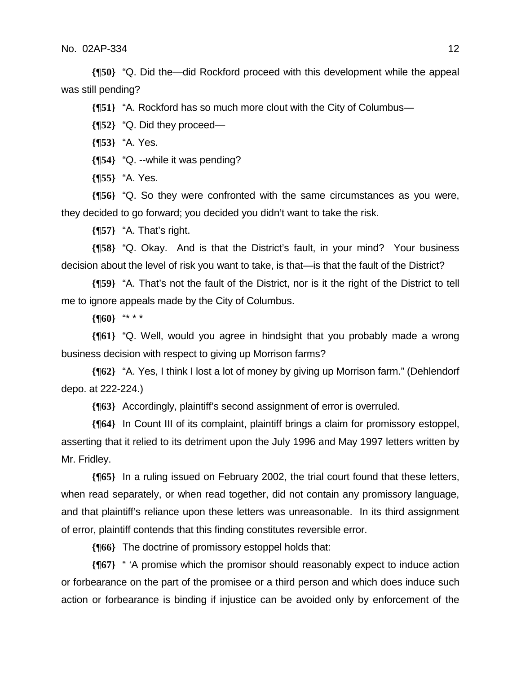**{¶50}** "Q. Did the—did Rockford proceed with this development while the appeal was still pending?

**{¶51}** "A. Rockford has so much more clout with the City of Columbus—

**{¶52}** "Q. Did they proceed—

**{¶53}** "A. Yes.

**{¶54}** "Q. --while it was pending?

**{¶55}** "A. Yes.

**{¶56}** "Q. So they were confronted with the same circumstances as you were, they decided to go forward; you decided you didn't want to take the risk.

**{¶57}** "A. That's right.

**{¶58}** "Q. Okay. And is that the District's fault, in your mind? Your business decision about the level of risk you want to take, is that—is that the fault of the District?

**{¶59}** "A. That's not the fault of the District, nor is it the right of the District to tell me to ignore appeals made by the City of Columbus.

**{¶60}** "\* \* \*

**{¶61}** "Q. Well, would you agree in hindsight that you probably made a wrong business decision with respect to giving up Morrison farms?

**{¶62}** "A. Yes, I think I lost a lot of money by giving up Morrison farm." (Dehlendorf depo. at 222-224.)

**{¶63}** Accordingly, plaintiff's second assignment of error is overruled.

**{¶64}** In Count III of its complaint, plaintiff brings a claim for promissory estoppel, asserting that it relied to its detriment upon the July 1996 and May 1997 letters written by Mr. Fridley.

**{¶65}** In a ruling issued on February 2002, the trial court found that these letters, when read separately, or when read together, did not contain any promissory language, and that plaintiff's reliance upon these letters was unreasonable. In its third assignment of error, plaintiff contends that this finding constitutes reversible error.

**{¶66}** The doctrine of promissory estoppel holds that:

**{¶67}** " 'A promise which the promisor should reasonably expect to induce action or forbearance on the part of the promisee or a third person and which does induce such action or forbearance is binding if injustice can be avoided only by enforcement of the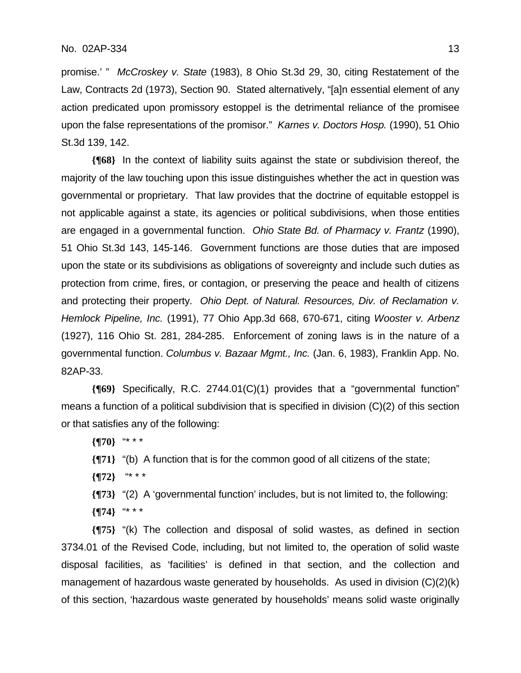promise.' " *McCroskey v. State* (1983), 8 Ohio St.3d 29, 30, citing Restatement of the Law, Contracts 2d (1973), Section 90. Stated alternatively, "[a]n essential element of any action predicated upon promissory estoppel is the detrimental reliance of the promisee upon the false representations of the promisor." *Karnes v. Doctors Hosp.* (1990), 51 Ohio St.3d 139, 142.

**{¶68}** In the context of liability suits against the state or subdivision thereof, the majority of the law touching upon this issue distinguishes whether the act in question was governmental or proprietary. That law provides that the doctrine of equitable estoppel is not applicable against a state, its agencies or political subdivisions, when those entities are engaged in a governmental function. *Ohio State Bd. of Pharmacy v. Frantz* (1990), 51 Ohio St.3d 143, 145-146. Government functions are those duties that are imposed upon the state or its subdivisions as obligations of sovereignty and include such duties as protection from crime, fires, or contagion, or preserving the peace and health of citizens and protecting their property. *Ohio Dept. of Natural. Resources, Div. of Reclamation v. Hemlock Pipeline, Inc.* (1991), 77 Ohio App.3d 668, 670-671, citing *Wooster v. Arbenz* (1927), 116 Ohio St. 281, 284-285. Enforcement of zoning laws is in the nature of a governmental function. *Columbus v. Bazaar Mgmt., Inc.* (Jan. 6, 1983), Franklin App. No. 82AP-33.

**{¶69}** Specifically, R.C. 2744.01(C)(1) provides that a "governmental function" means a function of a political subdivision that is specified in division (C)(2) of this section or that satisfies any of the following:

**{¶70}** "\* \* \*

**{¶71}** "(b) A function that is for the common good of all citizens of the state;

**{¶72}** "\* \* \*

**{¶73}** "(2) A 'governmental function' includes, but is not limited to, the following:

**{¶74}** "\* \* \*

**{¶75}** "(k) The collection and disposal of solid wastes, as defined in section 3734.01 of the Revised Code, including, but not limited to, the operation of solid waste disposal facilities, as 'facilities' is defined in that section, and the collection and management of hazardous waste generated by households. As used in division (C)(2)(k) of this section, 'hazardous waste generated by households' means solid waste originally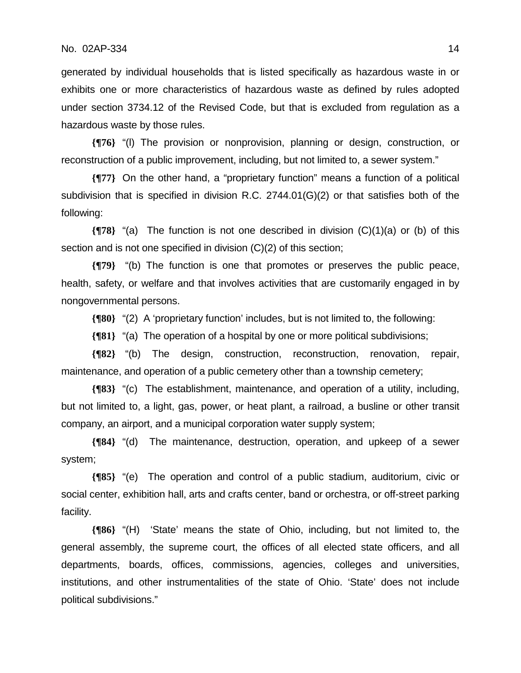generated by individual households that is listed specifically as hazardous waste in or exhibits one or more characteristics of hazardous waste as defined by rules adopted under section 3734.12 of the Revised Code, but that is excluded from regulation as a hazardous waste by those rules.

**{¶76}** "(l) The provision or nonprovision, planning or design, construction, or reconstruction of a public improvement, including, but not limited to, a sewer system."

**{¶77}** On the other hand, a "proprietary function" means a function of a political subdivision that is specified in division R.C. 2744.01(G)(2) or that satisfies both of the following:

**{¶78}** "(a) The function is not one described in division (C)(1)(a) or (b) of this section and is not one specified in division (C)(2) of this section;

**{¶79}** "(b) The function is one that promotes or preserves the public peace, health, safety, or welfare and that involves activities that are customarily engaged in by nongovernmental persons.

**{¶80}** "(2) A 'proprietary function' includes, but is not limited to, the following:

**{¶81}** "(a) The operation of a hospital by one or more political subdivisions;

**{¶82}** "(b) The design, construction, reconstruction, renovation, repair, maintenance, and operation of a public cemetery other than a township cemetery;

**{¶83}** "(c) The establishment, maintenance, and operation of a utility, including, but not limited to, a light, gas, power, or heat plant, a railroad, a busline or other transit company, an airport, and a municipal corporation water supply system;

**{¶84}** "(d) The maintenance, destruction, operation, and upkeep of a sewer system;

**{¶85}** "(e) The operation and control of a public stadium, auditorium, civic or social center, exhibition hall, arts and crafts center, band or orchestra, or off-street parking facility.

**{¶86}** "(H) 'State' means the state of Ohio, including, but not limited to, the general assembly, the supreme court, the offices of all elected state officers, and all departments, boards, offices, commissions, agencies, colleges and universities, institutions, and other instrumentalities of the state of Ohio. 'State' does not include political subdivisions."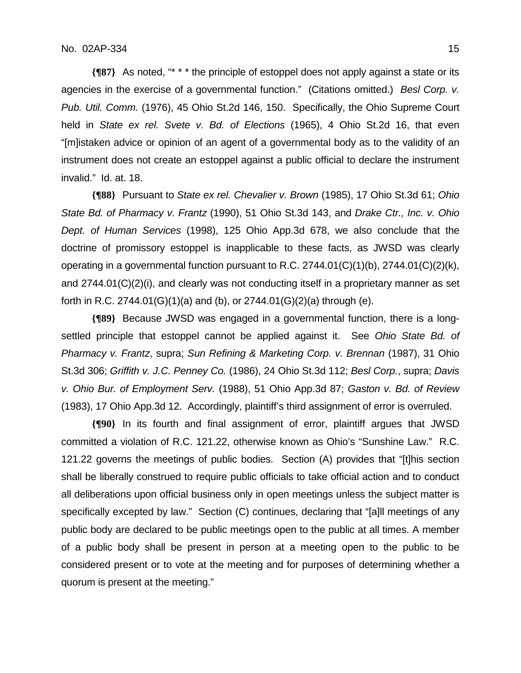**{¶87}** As noted, "\* \* \* the principle of estoppel does not apply against a state or its agencies in the exercise of a governmental function." (Citations omitted.) *Besl Corp. v. Pub. Util. Comm.* (1976), 45 Ohio St.2d 146, 150. Specifically, the Ohio Supreme Court held in *State ex rel. Svete v. Bd. of Elections* (1965), 4 Ohio St.2d 16, that even "[m]istaken advice or opinion of an agent of a governmental body as to the validity of an instrument does not create an estoppel against a public official to declare the instrument invalid." Id. at. 18.

**{¶88}** Pursuant to *State ex rel. Chevalier v. Brown* (1985), 17 Ohio St.3d 61; *Ohio State Bd. of Pharmacy v. Frantz* (1990), 51 Ohio St.3d 143, and *Drake Ctr., Inc. v. Ohio Dept. of Human Services* (1998), 125 Ohio App.3d 678, we also conclude that the doctrine of promissory estoppel is inapplicable to these facts, as JWSD was clearly operating in a governmental function pursuant to R.C.  $2744.01(C)(1)(b)$ ,  $2744.01(C)(2)(k)$ , and 2744.01(C)(2)(i), and clearly was not conducting itself in a proprietary manner as set forth in R.C. 2744.01(G)(1)(a) and (b), or 2744.01(G)(2)(a) through (e).

**{¶89}** Because JWSD was engaged in a governmental function, there is a longsettled principle that estoppel cannot be applied against it. See *Ohio State Bd. of Pharmacy v. Frantz*, supra; *Sun Refining & Marketing Corp. v. Brennan* (1987), 31 Ohio St.3d 306; *Griffith v. J.C. Penney Co.* (1986), 24 Ohio St.3d 112; *Besl Corp.*, supra; *Davis v. Ohio Bur. of Employment Serv.* (1988), 51 Ohio App.3d 87; *Gaston v. Bd. of Review*  (1983), 17 Ohio App.3d 12. Accordingly, plaintiff's third assignment of error is overruled.

**{¶90}** In its fourth and final assignment of error, plaintiff argues that JWSD committed a violation of R.C. 121.22, otherwise known as Ohio's "Sunshine Law." R.C. 121.22 governs the meetings of public bodies. Section (A) provides that "[t]his section shall be liberally construed to require public officials to take official action and to conduct all deliberations upon official business only in open meetings unless the subject matter is specifically excepted by law." Section (C) continues, declaring that "[a]ll meetings of any public body are declared to be public meetings open to the public at all times. A member of a public body shall be present in person at a meeting open to the public to be considered present or to vote at the meeting and for purposes of determining whether a quorum is present at the meeting."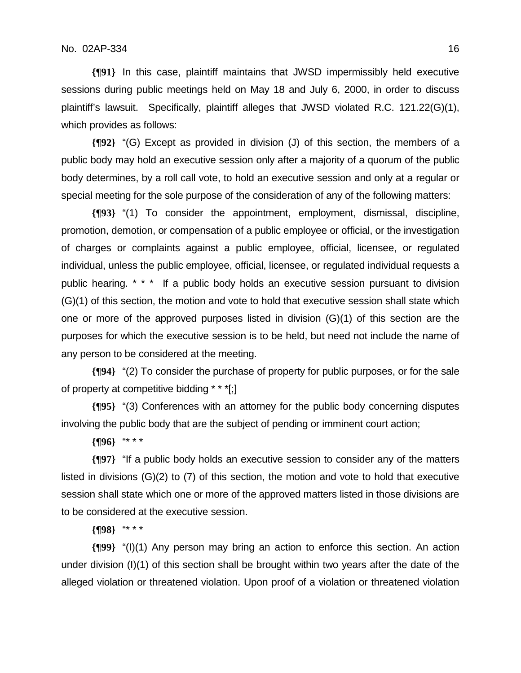**{¶91}** In this case, plaintiff maintains that JWSD impermissibly held executive sessions during public meetings held on May 18 and July 6, 2000, in order to discuss plaintiff's lawsuit. Specifically, plaintiff alleges that JWSD violated R.C. 121.22(G)(1), which provides as follows:

**{¶92}** "(G) Except as provided in division (J) of this section, the members of a public body may hold an executive session only after a majority of a quorum of the public body determines, by a roll call vote, to hold an executive session and only at a regular or special meeting for the sole purpose of the consideration of any of the following matters:

**{¶93}** "(1) To consider the appointment, employment, dismissal, discipline, promotion, demotion, or compensation of a public employee or official, or the investigation of charges or complaints against a public employee, official, licensee, or regulated individual, unless the public employee, official, licensee, or regulated individual requests a public hearing. \* \* \* If a public body holds an executive session pursuant to division (G)(1) of this section, the motion and vote to hold that executive session shall state which one or more of the approved purposes listed in division (G)(1) of this section are the purposes for which the executive session is to be held, but need not include the name of any person to be considered at the meeting.

**{¶94}** "(2) To consider the purchase of property for public purposes, or for the sale of property at competitive bidding \* \* \*[;]

**{¶95}** "(3) Conferences with an attorney for the public body concerning disputes involving the public body that are the subject of pending or imminent court action;

**{¶96}** "\* \* \*

**{¶97}** "If a public body holds an executive session to consider any of the matters listed in divisions (G)(2) to (7) of this section, the motion and vote to hold that executive session shall state which one or more of the approved matters listed in those divisions are to be considered at the executive session.

**{¶98}** "\* \* \*

**{¶99}** "(I)(1) Any person may bring an action to enforce this section. An action under division (I)(1) of this section shall be brought within two years after the date of the alleged violation or threatened violation. Upon proof of a violation or threatened violation